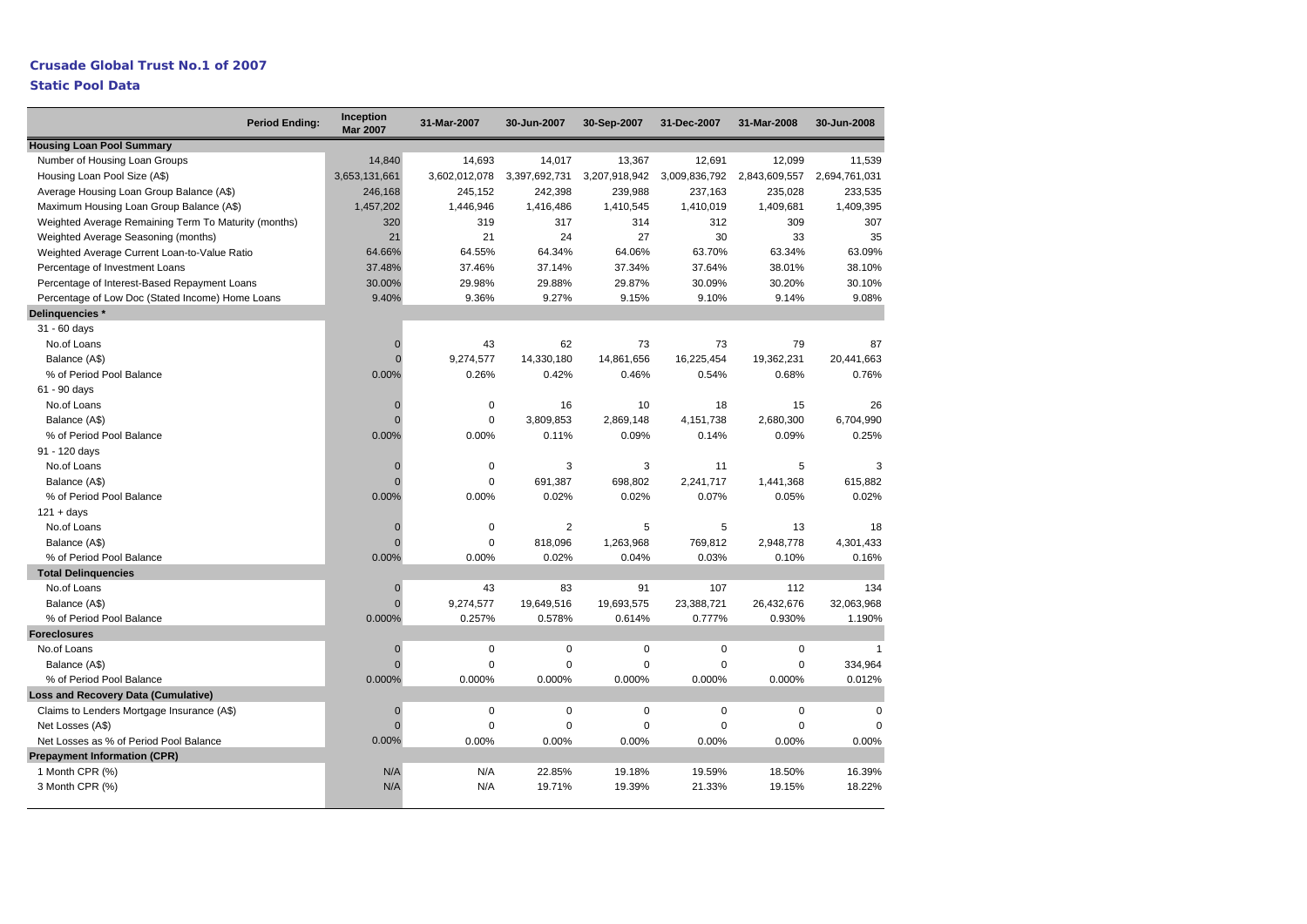# **Crusade Global Trust No.1 of 2007**

## **Static Pool Data**

| <b>Period Ending:</b>                                | Inception<br><b>Mar 2007</b> | 31-Mar-2007   | 30-Jun-2007    | 30-Sep-2007   | 31-Dec-2007   | 31-Mar-2008   | 30-Jun-2008   |
|------------------------------------------------------|------------------------------|---------------|----------------|---------------|---------------|---------------|---------------|
| <b>Housing Loan Pool Summary</b>                     |                              |               |                |               |               |               |               |
| Number of Housing Loan Groups                        | 14,840                       | 14,693        | 14,017         | 13,367        | 12,691        | 12,099        | 11,539        |
| Housing Loan Pool Size (A\$)                         | 3,653,131,661                | 3,602,012,078 | 3,397,692,731  | 3,207,918,942 | 3,009,836,792 | 2,843,609,557 | 2,694,761,031 |
| Average Housing Loan Group Balance (A\$)             | 246,168                      | 245,152       | 242,398        | 239,988       | 237,163       | 235,028       | 233,535       |
| Maximum Housing Loan Group Balance (A\$)             | 1,457,202                    | 1,446,946     | 1,416,486      | 1,410,545     | 1,410,019     | 1,409,681     | 1,409,395     |
| Weighted Average Remaining Term To Maturity (months) | 320                          | 319           | 317            | 314           | 312           | 309           | 307           |
| Weighted Average Seasoning (months)                  | 21                           | 21            | 24             | 27            | 30            | 33            | 35            |
| Weighted Average Current Loan-to-Value Ratio         | 64.66%                       | 64.55%        | 64.34%         | 64.06%        | 63.70%        | 63.34%        | 63.09%        |
| Percentage of Investment Loans                       | 37.48%                       | 37.46%        | 37.14%         | 37.34%        | 37.64%        | 38.01%        | 38.10%        |
| Percentage of Interest-Based Repayment Loans         | 30.00%                       | 29.98%        | 29.88%         | 29.87%        | 30.09%        | 30.20%        | 30.10%        |
| Percentage of Low Doc (Stated Income) Home Loans     | 9.40%                        | 9.36%         | 9.27%          | 9.15%         | 9.10%         | 9.14%         | 9.08%         |
| Delinguencies *                                      |                              |               |                |               |               |               |               |
| 31 - 60 days                                         |                              |               |                |               |               |               |               |
| No.of Loans                                          | $\mathbf{0}$                 | 43            | 62             | 73            | 73            | 79            | 87            |
| Balance (A\$)                                        | $\Omega$                     | 9,274,577     | 14,330,180     | 14,861,656    | 16,225,454    | 19,362,231    | 20,441,663    |
| % of Period Pool Balance                             | 0.00%                        | 0.26%         | 0.42%          | 0.46%         | 0.54%         | 0.68%         | 0.76%         |
| 61 - 90 days                                         |                              |               |                |               |               |               |               |
| No.of Loans                                          | $\mathbf{0}$                 | 0             | 16             | 10            | 18            | 15            | 26            |
| Balance (A\$)                                        | $\Omega$                     | 0             | 3,809,853      | 2,869,148     | 4,151,738     | 2,680,300     | 6,704,990     |
| % of Period Pool Balance                             | 0.00%                        | 0.00%         | 0.11%          | 0.09%         | 0.14%         | 0.09%         | 0.25%         |
| 91 - 120 days                                        |                              |               |                |               |               |               |               |
| No.of Loans                                          | $\mathbf{0}$                 | $\mathbf 0$   | 3              | 3             | 11            | 5             | 3             |
| Balance (A\$)                                        | $\Omega$                     | 0             | 691,387        | 698,802       | 2,241,717     | 1,441,368     | 615,882       |
| % of Period Pool Balance                             | 0.00%                        | 0.00%         | 0.02%          | 0.02%         | 0.07%         | 0.05%         | 0.02%         |
| $121 + days$                                         |                              |               |                |               |               |               |               |
| No.of Loans                                          | $\mathbf 0$                  | 0             | $\overline{2}$ | 5             | 5             | 13            | 18            |
| Balance (A\$)                                        | $\mathbf{0}$                 | 0             | 818,096        | 1,263,968     | 769,812       | 2,948,778     | 4,301,433     |
| % of Period Pool Balance                             | 0.00%                        | 0.00%         | 0.02%          | 0.04%         | 0.03%         | 0.10%         | 0.16%         |
| <b>Total Delinquencies</b>                           |                              |               |                |               |               |               |               |
| No.of Loans                                          | $\mathbf 0$                  | 43            | 83             | 91            | 107           | 112           | 134           |
| Balance (A\$)                                        | $\Omega$                     | 9,274,577     | 19,649,516     | 19,693,575    | 23,388,721    | 26,432,676    | 32,063,968    |
| % of Period Pool Balance                             | 0.000%                       | 0.257%        | 0.578%         | 0.614%        | 0.777%        | 0.930%        | 1.190%        |
| <b>Foreclosures</b>                                  |                              |               |                |               |               |               |               |
| No.of Loans                                          | $\mathbf 0$                  | $\mathbf 0$   | $\mathbf 0$    | 0             | 0             | $\mathbf 0$   |               |
| Balance (A\$)                                        | $\mathbf{0}$                 | $\mathbf 0$   | $\mathbf 0$    | $\mathbf 0$   | $\mathbf 0$   | $\mathsf 0$   | 334,964       |
| % of Period Pool Balance                             | 0.000%                       | 0.000%        | 0.000%         | 0.000%        | 0.000%        | 0.000%        | 0.012%        |
| <b>Loss and Recovery Data (Cumulative)</b>           |                              |               |                |               |               |               |               |
| Claims to Lenders Mortgage Insurance (A\$)           | $\mathbf 0$                  | $\mathbf 0$   | $\mathbf 0$    | 0             | 0             | $\mathbf 0$   | $\mathbf 0$   |
| Net Losses (A\$)                                     | $\Omega$                     | 0             | $\mathbf 0$    | 0             | $\mathbf 0$   | $\mathbf 0$   | $\Omega$      |
| Net Losses as % of Period Pool Balance               | 0.00%                        | 0.00%         | 0.00%          | 0.00%         | 0.00%         | 0.00%         | 0.00%         |
| <b>Prepayment Information (CPR)</b>                  |                              |               |                |               |               |               |               |
| 1 Month CPR (%)                                      | N/A                          | N/A           | 22.85%         | 19.18%        | 19.59%        | 18.50%        | 16.39%        |
| 3 Month CPR (%)                                      | N/A                          | N/A           | 19.71%         | 19.39%        | 21.33%        | 19.15%        | 18.22%        |
|                                                      |                              |               |                |               |               |               |               |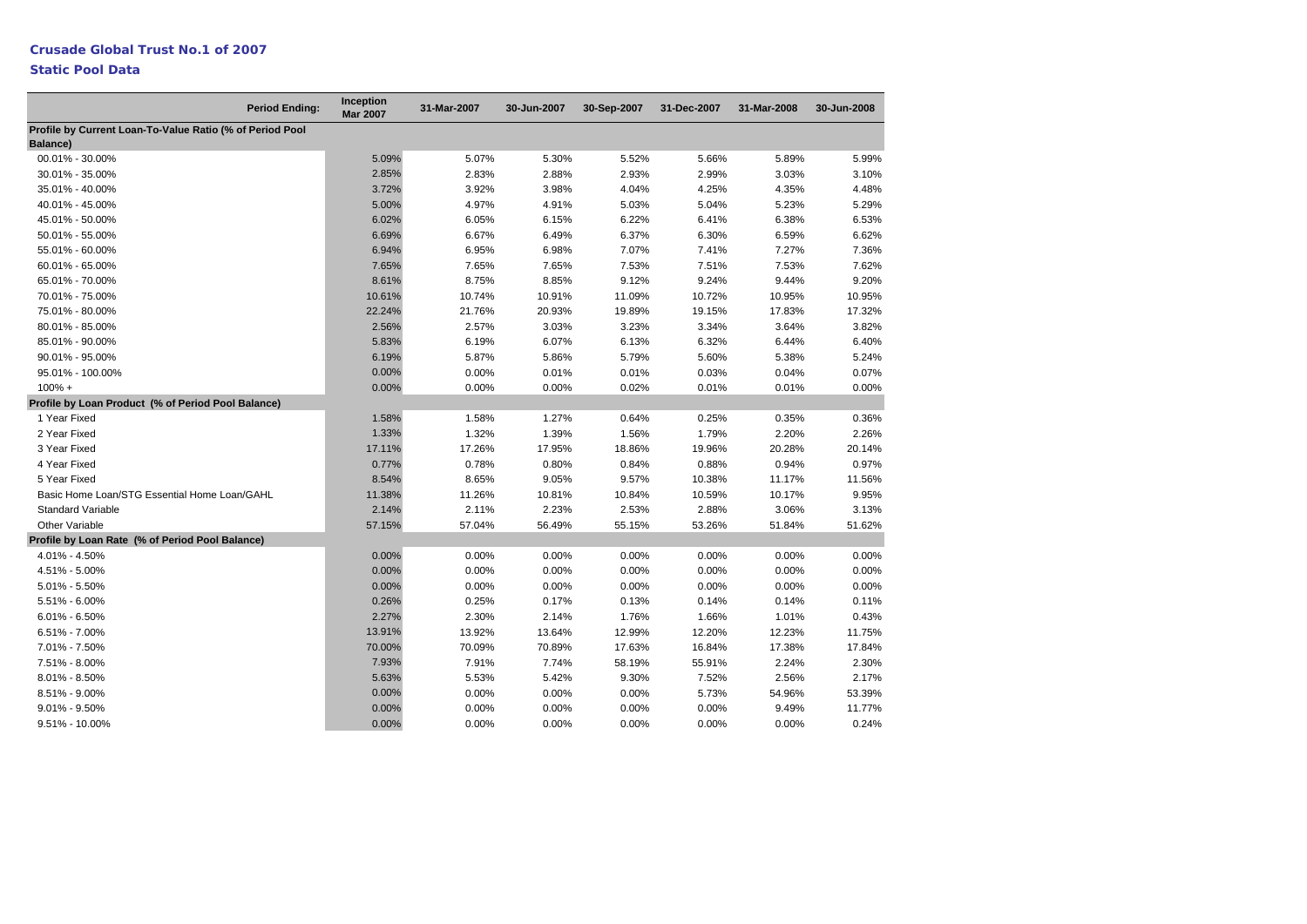### **Static Pool Data**

| <b>Period Ending:</b>                                                       | Inception<br><b>Mar 2007</b> | 31-Mar-2007 | 30-Jun-2007 | 30-Sep-2007 | 31-Dec-2007 | 31-Mar-2008 | 30-Jun-2008 |
|-----------------------------------------------------------------------------|------------------------------|-------------|-------------|-------------|-------------|-------------|-------------|
| Profile by Current Loan-To-Value Ratio (% of Period Pool<br><b>Balance)</b> |                              |             |             |             |             |             |             |
| 00.01% - 30.00%                                                             | 5.09%                        | 5.07%       | 5.30%       | 5.52%       | 5.66%       | 5.89%       | 5.99%       |
| 30.01% - 35.00%                                                             | 2.85%                        | 2.83%       | 2.88%       | 2.93%       | 2.99%       | 3.03%       | 3.10%       |
| 35.01% - 40.00%                                                             | 3.72%                        | 3.92%       | 3.98%       | 4.04%       | 4.25%       | 4.35%       | 4.48%       |
| 40.01% - 45.00%                                                             | 5.00%                        | 4.97%       | 4.91%       | 5.03%       | 5.04%       | 5.23%       | 5.29%       |
| 45.01% - 50.00%                                                             | 6.02%                        | 6.05%       | 6.15%       | 6.22%       | 6.41%       | 6.38%       | 6.53%       |
| 50.01% - 55.00%                                                             | 6.69%                        | 6.67%       | 6.49%       | 6.37%       | 6.30%       | 6.59%       | 6.62%       |
| 55.01% - 60.00%                                                             | 6.94%                        | 6.95%       | 6.98%       | 7.07%       | 7.41%       | 7.27%       | 7.36%       |
| 60.01% - 65.00%                                                             | 7.65%                        | 7.65%       | 7.65%       | 7.53%       | 7.51%       | 7.53%       | 7.62%       |
| 65.01% - 70.00%                                                             | 8.61%                        | 8.75%       | 8.85%       | 9.12%       | 9.24%       | 9.44%       | 9.20%       |
| 70.01% - 75.00%                                                             | 10.61%                       | 10.74%      | 10.91%      | 11.09%      | 10.72%      | 10.95%      | 10.95%      |
| 75.01% - 80.00%                                                             | 22.24%                       | 21.76%      | 20.93%      | 19.89%      | 19.15%      | 17.83%      | 17.32%      |
| 80.01% - 85.00%                                                             | 2.56%                        | 2.57%       | 3.03%       | 3.23%       | 3.34%       | 3.64%       | 3.82%       |
| 85.01% - 90.00%                                                             | 5.83%                        | 6.19%       | 6.07%       | 6.13%       | 6.32%       | 6.44%       | 6.40%       |
| 90.01% - 95.00%                                                             | 6.19%                        | 5.87%       | 5.86%       | 5.79%       | 5.60%       | 5.38%       | 5.24%       |
| 95.01% - 100.00%                                                            | 0.00%                        | 0.00%       | 0.01%       | 0.01%       | 0.03%       | 0.04%       | 0.07%       |
| $100\% +$                                                                   | 0.00%                        | 0.00%       | 0.00%       | 0.02%       | 0.01%       | 0.01%       | 0.00%       |
| Profile by Loan Product (% of Period Pool Balance)                          |                              |             |             |             |             |             |             |
| 1 Year Fixed                                                                | 1.58%                        | 1.58%       | 1.27%       | 0.64%       | 0.25%       | 0.35%       | 0.36%       |
| 2 Year Fixed                                                                | 1.33%                        | 1.32%       | 1.39%       | 1.56%       | 1.79%       | 2.20%       | 2.26%       |
| 3 Year Fixed                                                                | 17.11%                       | 17.26%      | 17.95%      | 18.86%      | 19.96%      | 20.28%      | 20.14%      |
| 4 Year Fixed                                                                | 0.77%                        | 0.78%       | 0.80%       | 0.84%       | 0.88%       | 0.94%       | 0.97%       |
| 5 Year Fixed                                                                | 8.54%                        | 8.65%       | 9.05%       | 9.57%       | 10.38%      | 11.17%      | 11.56%      |
| Basic Home Loan/STG Essential Home Loan/GAHL                                | 11.38%                       | 11.26%      | 10.81%      | 10.84%      | 10.59%      | 10.17%      | 9.95%       |
| <b>Standard Variable</b>                                                    | 2.14%                        | 2.11%       | 2.23%       | 2.53%       | 2.88%       | 3.06%       | 3.13%       |
| <b>Other Variable</b>                                                       | 57.15%                       | 57.04%      | 56.49%      | 55.15%      | 53.26%      | 51.84%      | 51.62%      |
| Profile by Loan Rate (% of Period Pool Balance)                             |                              |             |             |             |             |             |             |
| 4.01% - 4.50%                                                               | 0.00%                        | 0.00%       | 0.00%       | 0.00%       | 0.00%       | 0.00%       | 0.00%       |
| 4.51% - 5.00%                                                               | 0.00%                        | 0.00%       | 0.00%       | 0.00%       | 0.00%       | 0.00%       | 0.00%       |
| $5.01\% - 5.50\%$                                                           | 0.00%                        | 0.00%       | 0.00%       | 0.00%       | 0.00%       | 0.00%       | 0.00%       |
| $5.51\% - 6.00\%$                                                           | 0.26%                        | 0.25%       | 0.17%       | 0.13%       | 0.14%       | 0.14%       | 0.11%       |
| $6.01\% - 6.50\%$                                                           | 2.27%                        | 2.30%       | 2.14%       | 1.76%       | 1.66%       | 1.01%       | 0.43%       |
| $6.51\% - 7.00\%$                                                           | 13.91%                       | 13.92%      | 13.64%      | 12.99%      | 12.20%      | 12.23%      | 11.75%      |
| 7.01% - 7.50%                                                               | 70.00%                       | 70.09%      | 70.89%      | 17.63%      | 16.84%      | 17.38%      | 17.84%      |
| 7.51% - 8.00%                                                               | 7.93%                        | 7.91%       | 7.74%       | 58.19%      | 55.91%      | 2.24%       | 2.30%       |
| $8.01\% - 8.50\%$                                                           | 5.63%                        | 5.53%       | 5.42%       | 9.30%       | 7.52%       | 2.56%       | 2.17%       |
| 8.51% - 9.00%                                                               | 0.00%                        | 0.00%       | 0.00%       | 0.00%       | 5.73%       | 54.96%      | 53.39%      |
| $9.01\% - 9.50\%$                                                           | 0.00%                        | 0.00%       | 0.00%       | $0.00\%$    | 0.00%       | 9.49%       | 11.77%      |
| 9.51% - 10.00%                                                              | 0.00%                        | 0.00%       | 0.00%       | 0.00%       | 0.00%       | 0.00%       | 0.24%       |